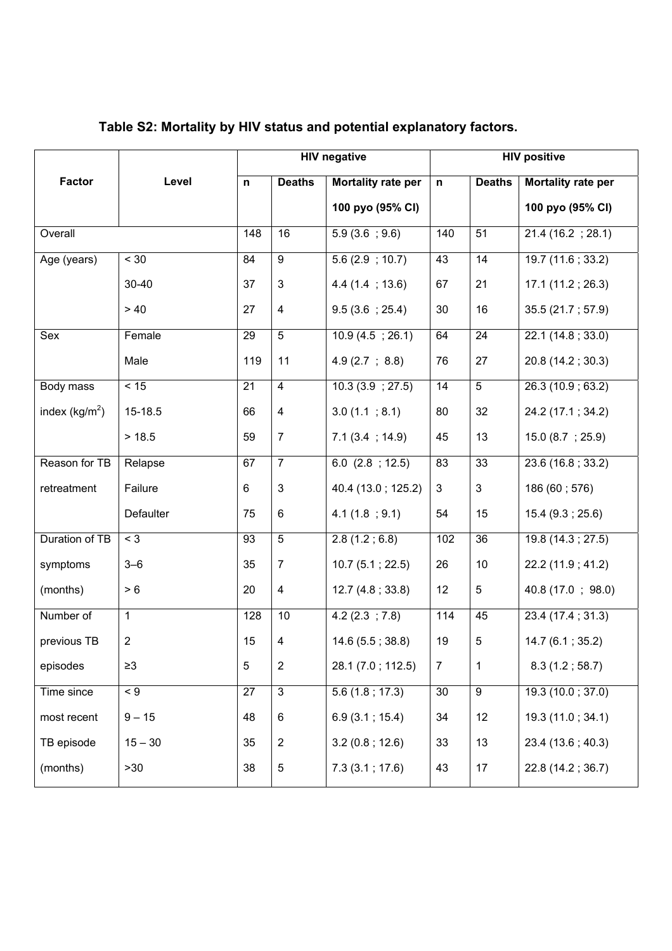|                  |                | <b>HIV negative</b> |                         | <b>HIV positive</b>  |                |                 |                    |
|------------------|----------------|---------------------|-------------------------|----------------------|----------------|-----------------|--------------------|
| <b>Factor</b>    | Level          | n                   | <b>Deaths</b>           | Mortality rate per   | $\mathsf{n}$   | <b>Deaths</b>   | Mortality rate per |
|                  |                |                     |                         | 100 pyo (95% CI)     |                |                 | 100 pyo (95% CI)   |
| Overall          |                | 148                 | 16                      | 5.9(3.6; 9.6)        | 140            | 51              | 21.4(16.2; 28.1)   |
| Age (years)      | < 30           | 84                  | $\overline{9}$          | 5.6(2.9; 10.7)       | 43             | $\overline{14}$ | 19.7(11.6; 33.2)   |
|                  | 30-40          | 37                  | $\mathfrak{S}$          | 4.4(1.4; 13.6)       | 67             | 21              | 17.1(11.2; 26.3)   |
|                  | > 40           | 27                  | $\overline{4}$          | 9.5(3.6; 25.4)       | 30             | 16              | 35.5 (21.7; 57.9)  |
| Sex              | Female         | 29                  | $\overline{5}$          | 10.9(4.5; 26.1)      | 64             | 24              | 22.1 (14.8; 33.0)  |
|                  | Male           | 119                 | 11                      | 4.9(2.7; 8.8)        | 76             | 27              | 20.8 (14.2; 30.3)  |
| Body mass        | < 15           | 21                  | $\overline{4}$          | 10.3(3.9; 27.5)      | 14             | $\overline{5}$  | 26.3(10.9; 63.2)   |
| index $(kg/m^2)$ | 15-18.5        | 66                  | $\overline{\mathbf{4}}$ | 3.0(1.1; 8.1)        | 80             | 32              | 24.2 (17.1; 34.2)  |
|                  | > 18.5         | 59                  | $\overline{7}$          | 7.1(3.4; 14.9)       | 45             | 13              | 15.0(8.7; 25.9)    |
| Reason for TB    | Relapse        | 67                  | $\overline{7}$          | $6.0$ $(2.8 ; 12.5)$ | 83             | 33              | 23.6 (16.8 ; 33.2) |
| retreatment      | Failure        | 6                   | $\mathsf 3$             | 40.4 (13.0; 125.2)   | 3              | $\mathbf{3}$    | 186 (60; 576)      |
|                  | Defaulter      | 75                  | 6                       | 4.1(1.8; 9.1)        | 54             | 15              | 15.4(9.3; 25.6)    |
| Duration of TB   | $<$ 3          | 93                  | $\overline{5}$          | 2.8(1.2; 6.8)        | 102            | $\overline{36}$ | 19.8 (14.3; 27.5)  |
| symptoms         | $3 - 6$        | 35                  | $\overline{7}$          | 10.7(5.1; 22.5)      | 26             | 10              | 22.2 (11.9 ; 41.2) |
| (months)         | $>6$           | 20                  | 4                       | 12.7 (4.8; 33.8)     | 12             | 5               | 40.8 (17.0; 98.0)  |
| Number of        | $\mathbf{1}$   | 128                 | 10                      | 4.2(2.3; 7.8)        | 114            | 45              | 23.4(17.4; 31.3)   |
| previous TB      | $\overline{2}$ | 15                  | 4                       | 14.6 (5.5; 38.8)     | 19             | $\overline{5}$  | 14.7(6.1; 35.2)    |
| episodes         | $\geq 3$       | 5                   | $\overline{2}$          | 28.1 (7.0; 112.5)    | $\overline{7}$ | $\mathbf 1$     | 8.3(1.2; 58.7)     |
| Time since       | $\leq 9$       | 27                  | 3                       | 5.6(1.8; 17.3)       | 30             | $\overline{9}$  | 19.3(10.0; 37.0)   |
| most recent      | $9 - 15$       | 48                  | $\,6\,$                 | 6.9(3.1; 15.4)       | 34             | 12              | 19.3 (11.0; 34.1)  |
| TB episode       | $15 - 30$      | 35                  | $\mathbf 2$             | 3.2(0.8; 12.6)       | 33             | 13              | 23.4 (13.6; 40.3)  |
| (months)         | >30            | 38                  | $\,$ 5 $\,$             | 7.3(3.1; 17.6)       | 43             | 17              | 22.8 (14.2; 36.7)  |

## **Table S2: Mortality by HIV status and potential explanatory factors.**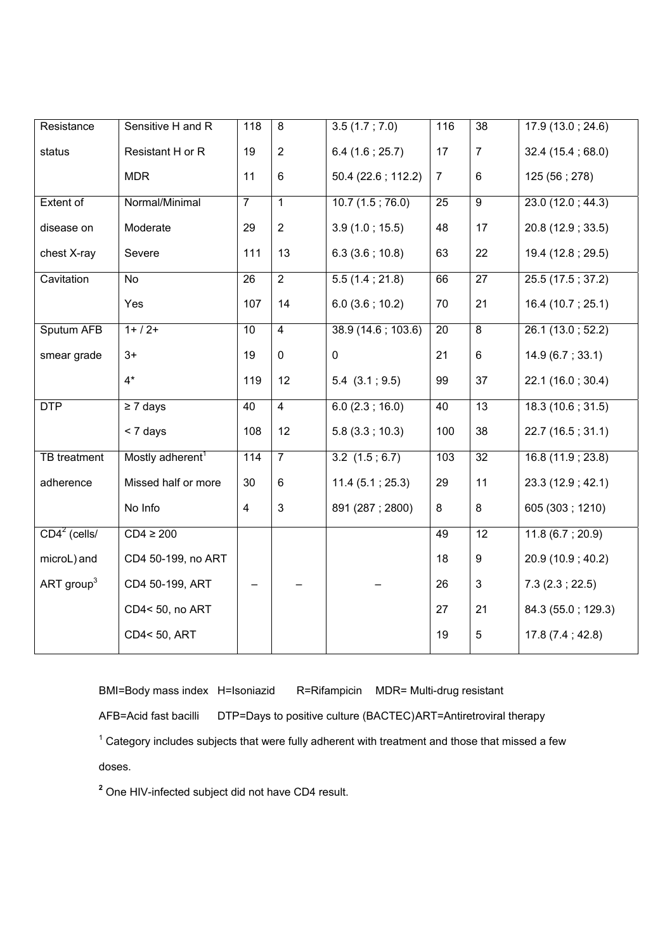| Resistance             | Sensitive H and R            | 118               | 8              | 3.5(1.7; 7.0)       | 116            | $\overline{38}$ | 17.9(13.0; 24.6)   |
|------------------------|------------------------------|-------------------|----------------|---------------------|----------------|-----------------|--------------------|
| status                 | Resistant H or R             | 19                | $\overline{2}$ | 6.4(1.6; 25.7)      | 17             | $\overline{7}$  | 32.4(15.4;68.0)    |
|                        | <b>MDR</b>                   | 11                | $\,6\,$        | 50.4 (22.6 ; 112.2) | $\overline{7}$ | $\,6\,$         | 125 (56; 278)      |
| Extent of              | Normal/Minimal               | $\overline{7}$    | $\overline{1}$ | 10.7(1.5; 76.0)     | 25             | $\overline{9}$  | 23.0(12.0; 44.3)   |
| disease on             | Moderate                     | 29                | $\overline{2}$ | 3.9(1.0; 15.5)      | 48             | 17              | 20.8 (12.9 ; 33.5) |
| chest X-ray            | Severe                       | 111               | 13             | 6.3(3.6; 10.8)      | 63             | 22              | 19.4 (12.8 ; 29.5) |
| Cavitation             | No                           | 26                | $\overline{2}$ | 5.5(1.4; 21.8)      | 66             | 27              | 25.5 (17.5; 37.2)  |
|                        | Yes                          | 107               | 14             | 6.0(3.6; 10.2)      | 70             | 21              | 16.4 (10.7; 25.1)  |
| Sputum AFB             | $1+ / 2+$                    | 10                | $\overline{4}$ | 38.9(14.6; 103.6)   | 20             | $\overline{8}$  | 26.1(13.0; 52.2)   |
| smear grade            | $3+$                         | 19                | $\pmb{0}$      | 0                   | 21             | $\,6\,$         | 14.9 (6.7; 33.1)   |
|                        | $4*$                         | 119               | 12             | $5.4$ $(3.1 ; 9.5)$ | 99             | 37              | 22.1 (16.0; 30.4)  |
| <b>DTP</b>             | $\geq 7$ days                | 40                | $\overline{4}$ | 6.0(2.3; 16.0)      | 40             | $\overline{13}$ | 18.3(10.6; 31.5)   |
|                        | $<$ 7 days                   | 108               | 12             | 5.8(3.3; 10.3)      | 100            | 38              | 22.7 (16.5; 31.1)  |
| <b>TB</b> treatment    | Mostly adherent <sup>1</sup> | $\frac{114}{114}$ | $\overline{7}$ | $3.2$ $(1.5; 6.7)$  | 103            | 32              | 16.8(11.9; 23.8)   |
| adherence              | Missed half or more          | 30                | $6\phantom{1}$ | 11.4(5.1; 25.3)     | 29             | 11              | 23.3 (12.9 ; 42.1) |
|                        | No Info                      | 4                 | $\mathbf{3}$   | 891 (287; 2800)     | 8              | 8               | 605 (303; 1210)    |
| $CD42$ (cells/         | $CD4 \geq 200$               |                   |                |                     | 49             | 12              | 11.8(6.7; 20.9)    |
| microL) and            | CD4 50-199, no ART           |                   |                |                     | 18             | 9               | 20.9 (10.9 ; 40.2) |
| ART group <sup>3</sup> | CD4 50-199, ART              |                   |                |                     | 26             | 3               | 7.3(2.3; 22.5)     |
|                        | CD4<50, no ART               |                   |                |                     | 27             | 21              | 84.3 (55.0; 129.3) |
|                        | CD4<50, ART                  |                   |                |                     | 19             | 5               | 17.8(7.4; 42.8)    |

BMI=Body mass index H=Isoniazid R=Rifampicin MDR= Multi-drug resistant

AFB=Acid fast bacilli DTP=Days to positive culture (BACTEC) ART=Antiretroviral therapy

 $1$  Category includes subjects that were fully adherent with treatment and those that missed a few

doses.

**<sup>2</sup>** One HIV-infected subject did not have CD4 result.